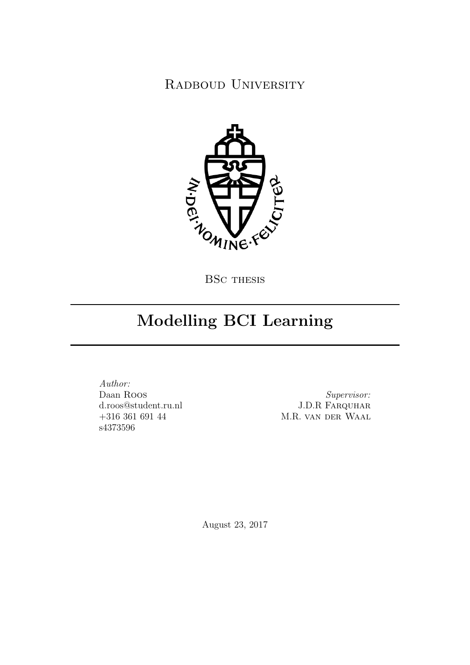RADBOUD UNIVERSITY



# Modelling BCI Learning

Author: Daan Roos d.roos@student.ru.nl +316 361 691 44 s4373596

Supervisor: J.D.R Farquhar M.R. van der Waal

August 23, 2017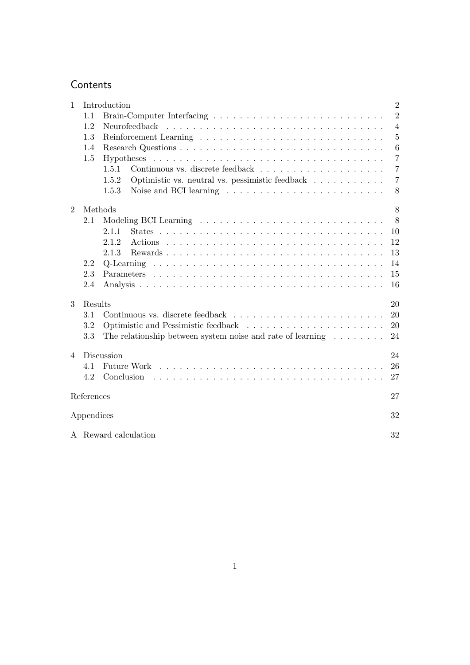## **Contents**

| $\mathbf{1}$   | $\overline{2}$<br>Introduction |                                                                                         |                |  |
|----------------|--------------------------------|-----------------------------------------------------------------------------------------|----------------|--|
|                | 1.1                            |                                                                                         | $\overline{2}$ |  |
|                | 1.2                            |                                                                                         | $\overline{4}$ |  |
|                | 1.3                            |                                                                                         | $\overline{5}$ |  |
|                | 1.4                            |                                                                                         | 6              |  |
|                | 1.5                            |                                                                                         | $\overline{7}$ |  |
|                |                                | 1.5.1                                                                                   | $\overline{7}$ |  |
|                |                                | Optimistic vs. neutral vs. pessimistic feedback<br>1.5.2                                | $\overline{7}$ |  |
|                |                                | Noise and BCI learning $\dots \dots \dots \dots \dots \dots \dots \dots \dots$<br>1.5.3 | 8              |  |
| $\overline{2}$ | Methods                        |                                                                                         | 8              |  |
|                | 2.1                            |                                                                                         | 8              |  |
|                |                                | 2.1.1                                                                                   | 10             |  |
|                |                                | 2.1.2                                                                                   | 12             |  |
|                |                                | 2.1.3                                                                                   | 13             |  |
|                | 2.2                            |                                                                                         | 14             |  |
|                | 2.3                            |                                                                                         | 15             |  |
|                | 2.4                            |                                                                                         | 16             |  |
| 3              | Results                        |                                                                                         | 20             |  |
|                | 3.1                            |                                                                                         | 20             |  |
|                | 3.2                            |                                                                                         | 20             |  |
|                | 3.3                            | The relationship between system noise and rate of learning $\dots \dots$                | 24             |  |
| $\overline{4}$ | Discussion<br>24               |                                                                                         |                |  |
|                | 4.1                            | Future Work                                                                             | 26             |  |
|                | 4.2                            | Conclusion                                                                              | 27             |  |
| References     |                                |                                                                                         | 27             |  |
|                | Appendices                     |                                                                                         |                |  |
|                |                                | A Reward calculation                                                                    | 32             |  |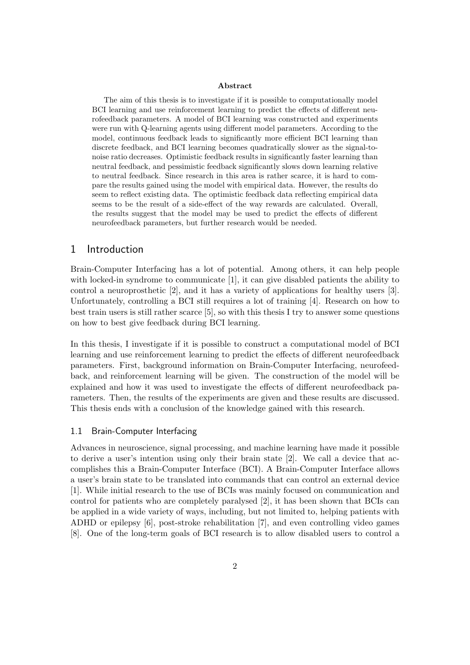#### Abstract

The aim of this thesis is to investigate if it is possible to computationally model BCI learning and use reinforcement learning to predict the effects of different neurofeedback parameters. A model of BCI learning was constructed and experiments were run with Q-learning agents using different model parameters. According to the model, continuous feedback leads to significantly more efficient BCI learning than discrete feedback, and BCI learning becomes quadratically slower as the signal-tonoise ratio decreases. Optimistic feedback results in significantly faster learning than neutral feedback, and pessimistic feedback significantly slows down learning relative to neutral feedback. Since research in this area is rather scarce, it is hard to compare the results gained using the model with empirical data. However, the results do seem to reflect existing data. The optimistic feedback data reflecting empirical data seems to be the result of a side-effect of the way rewards are calculated. Overall, the results suggest that the model may be used to predict the effects of different neurofeedback parameters, but further research would be needed.

#### 1 Introduction

Brain-Computer Interfacing has a lot of potential. Among others, it can help people with locked-in syndrome to communicate [1], it can give disabled patients the ability to control a neuroprosthetic [2], and it has a variety of applications for healthy users [3]. Unfortunately, controlling a BCI still requires a lot of training [4]. Research on how to best train users is still rather scarce [5], so with this thesis I try to answer some questions on how to best give feedback during BCI learning.

In this thesis, I investigate if it is possible to construct a computational model of BCI learning and use reinforcement learning to predict the effects of different neurofeedback parameters. First, background information on Brain-Computer Interfacing, neurofeedback, and reinforcement learning will be given. The construction of the model will be explained and how it was used to investigate the effects of different neurofeedback parameters. Then, the results of the experiments are given and these results are discussed. This thesis ends with a conclusion of the knowledge gained with this research.

#### 1.1 Brain-Computer Interfacing

Advances in neuroscience, signal processing, and machine learning have made it possible to derive a user's intention using only their brain state [2]. We call a device that accomplishes this a Brain-Computer Interface (BCI). A Brain-Computer Interface allows a user's brain state to be translated into commands that can control an external device [1]. While initial research to the use of BCIs was mainly focused on communication and control for patients who are completely paralysed [2], it has been shown that BCIs can be applied in a wide variety of ways, including, but not limited to, helping patients with ADHD or epilepsy [6], post-stroke rehabilitation [7], and even controlling video games [8]. One of the long-term goals of BCI research is to allow disabled users to control a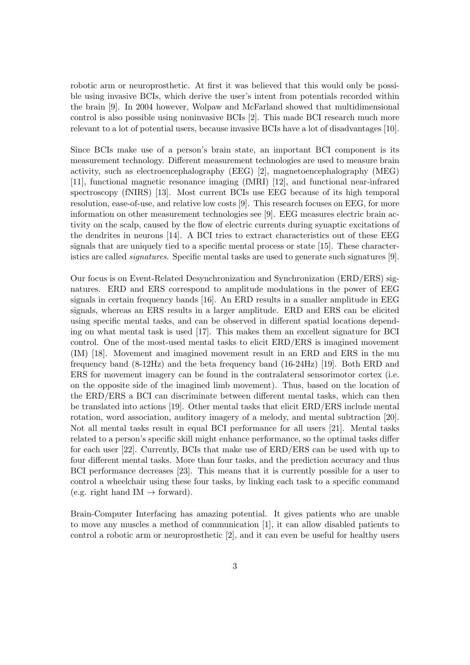robotic arm or neuroprosthetic. At first it was believed that this would only be possible using invasive BCIs, which derive the user's intent from potentials recorded within the brain [9]. In 2004 however, Wolpaw and McFarland showed that multidimensional control is also possible using noninvasive BCIs [2]. This made BCI research much more relevant to a lot of potential users, because invasive BCIs have a lot of disadvantages [10].

Since BCIs make use of a person's brain state, an important BCI component is its measurement technology. Different measurement technologies are used to measure brain activity, such as electroencephalography (EEG) [2], magnetoencephalography (MEG) [11], functional magnetic resonance imaging (fMRI) [12], and functional near-infrared spectroscopy (fNIRS) [13]. Most current BCIs use EEG because of its high temporal resolution, ease-of-use, and relative low costs [9]. This research focuses on EEG, for more information on other measurement technologies see [9]. EEG measures electric brain activity on the scalp, caused by the flow of electric currents during synaptic excitations of the dendrites in neurons [14]. A BCI tries to extract characteristics out of these EEG signals that are uniquely tied to a specific mental process or state [15]. These characteristics are called signatures. Specific mental tasks are used to generate such signatures [9].

Our focus is on Event-Related Desynchronization and Synchronization (ERD/ERS) signatures. ERD and ERS correspond to amplitude modulations in the power of EEG signals in certain frequency bands [16]. An ERD results in a smaller amplitude in EEG signals, whereas an ERS results in a larger amplitude. ERD and ERS can be elicited using specific mental tasks, and can be observed in different spatial locations depending on what mental task is used [17]. This makes them an excellent signature for BCI control. One of the most-used mental tasks to elicit ERD/ERS is imagined movement (IM) [18]. Movement and imagined movement result in an ERD and ERS in the mu frequency band (8-12Hz) and the beta frequency band (16-24Hz) [19]. Both ERD and ERS for movement imagery can be found in the contralateral sensorimotor cortex (i.e. on the opposite side of the imagined limb movement). Thus, based on the location of the ERD/ERS a BCI can discriminate between different mental tasks, which can then be translated into actions [19]. Other mental tasks that elicit ERD/ERS include mental rotation, word association, auditory imagery of a melody, and mental subtraction [20]. Not all mental tasks result in equal BCI performance for all users [21]. Mental tasks related to a person's specific skill might enhance performance, so the optimal tasks differ for each user [22]. Currently, BCIs that make use of ERD/ERS can be used with up to four different mental tasks. More than four tasks, and the prediction accuracy and thus BCI performance decreases [23]. This means that it is currently possible for a user to control a wheelchair using these four tasks, by linking each task to a specific command (e.g. right hand IM  $\rightarrow$  forward).

Brain-Computer Interfacing has amazing potential. It gives patients who are unable to move any muscles a method of communication [1], it can allow disabled patients to control a robotic arm or neuroprosthetic [2], and it can even be useful for healthy users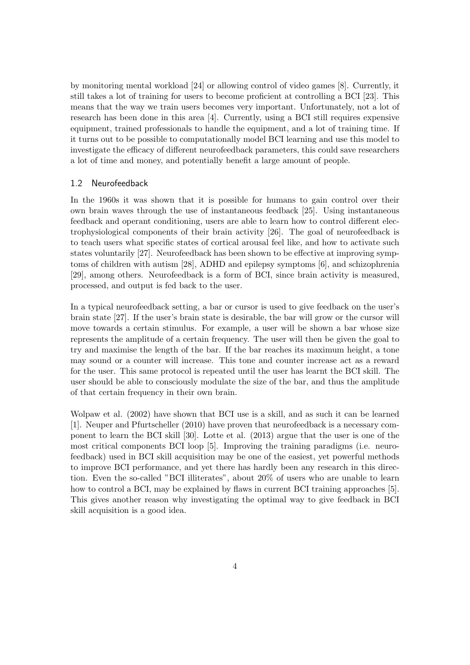by monitoring mental workload [24] or allowing control of video games [8]. Currently, it still takes a lot of training for users to become proficient at controlling a BCI [23]. This means that the way we train users becomes very important. Unfortunately, not a lot of research has been done in this area [4]. Currently, using a BCI still requires expensive equipment, trained professionals to handle the equipment, and a lot of training time. If it turns out to be possible to computationally model BCI learning and use this model to investigate the efficacy of different neurofeedback parameters, this could save researchers a lot of time and money, and potentially benefit a large amount of people.

#### 1.2 Neurofeedback

In the 1960s it was shown that it is possible for humans to gain control over their own brain waves through the use of instantaneous feedback [25]. Using instantaneous feedback and operant conditioning, users are able to learn how to control different electrophysiological components of their brain activity [26]. The goal of neurofeedback is to teach users what specific states of cortical arousal feel like, and how to activate such states voluntarily [27]. Neurofeedback has been shown to be effective at improving symptoms of children with autism [28], ADHD and epilepsy symptoms [6], and schizophrenia [29], among others. Neurofeedback is a form of BCI, since brain activity is measured, processed, and output is fed back to the user.

In a typical neurofeedback setting, a bar or cursor is used to give feedback on the user's brain state [27]. If the user's brain state is desirable, the bar will grow or the cursor will move towards a certain stimulus. For example, a user will be shown a bar whose size represents the amplitude of a certain frequency. The user will then be given the goal to try and maximise the length of the bar. If the bar reaches its maximum height, a tone may sound or a counter will increase. This tone and counter increase act as a reward for the user. This same protocol is repeated until the user has learnt the BCI skill. The user should be able to consciously modulate the size of the bar, and thus the amplitude of that certain frequency in their own brain.

Wolpaw et al. (2002) have shown that BCI use is a skill, and as such it can be learned [1]. Neuper and Pfurtscheller (2010) have proven that neurofeedback is a necessary component to learn the BCI skill [30]. Lotte et al. (2013) argue that the user is one of the most critical components BCI loop [5]. Improving the training paradigms (i.e. neurofeedback) used in BCI skill acquisition may be one of the easiest, yet powerful methods to improve BCI performance, and yet there has hardly been any research in this direction. Even the so-called "BCI illiterates", about 20% of users who are unable to learn how to control a BCI, may be explained by flaws in current BCI training approaches [5]. This gives another reason why investigating the optimal way to give feedback in BCI skill acquisition is a good idea.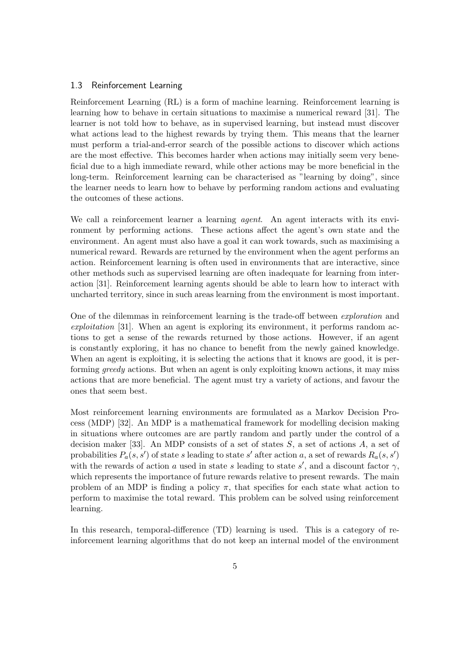#### 1.3 Reinforcement Learning

Reinforcement Learning (RL) is a form of machine learning. Reinforcement learning is learning how to behave in certain situations to maximise a numerical reward [31]. The learner is not told how to behave, as in supervised learning, but instead must discover what actions lead to the highest rewards by trying them. This means that the learner must perform a trial-and-error search of the possible actions to discover which actions are the most effective. This becomes harder when actions may initially seem very beneficial due to a high immediate reward, while other actions may be more beneficial in the long-term. Reinforcement learning can be characterised as "learning by doing", since the learner needs to learn how to behave by performing random actions and evaluating the outcomes of these actions.

We call a reinforcement learner a learning *agent*. An agent interacts with its environment by performing actions. These actions affect the agent's own state and the environment. An agent must also have a goal it can work towards, such as maximising a numerical reward. Rewards are returned by the environment when the agent performs an action. Reinforcement learning is often used in environments that are interactive, since other methods such as supervised learning are often inadequate for learning from interaction [31]. Reinforcement learning agents should be able to learn how to interact with uncharted territory, since in such areas learning from the environment is most important.

One of the dilemmas in reinforcement learning is the trade-off between exploration and exploitation [31]. When an agent is exploring its environment, it performs random actions to get a sense of the rewards returned by those actions. However, if an agent is constantly exploring, it has no chance to benefit from the newly gained knowledge. When an agent is exploiting, it is selecting the actions that it knows are good, it is performing *greedy* actions. But when an agent is only exploiting known actions, it may miss actions that are more beneficial. The agent must try a variety of actions, and favour the ones that seem best.

Most reinforcement learning environments are formulated as a Markov Decision Process (MDP) [32]. An MDP is a mathematical framework for modelling decision making in situations where outcomes are are partly random and partly under the control of a decision maker [33]. An MDP consists of a set of states  $S$ , a set of actions  $A$ , a set of probabilities  $P_a(s, s')$  of state s leading to state s' after action a, a set of rewards  $R_a(s, s')$ with the rewards of action a used in state s leading to state s', and a discount factor  $\gamma$ , which represents the importance of future rewards relative to present rewards. The main problem of an MDP is finding a policy  $\pi$ , that specifies for each state what action to perform to maximise the total reward. This problem can be solved using reinforcement learning.

In this research, temporal-difference (TD) learning is used. This is a category of reinforcement learning algorithms that do not keep an internal model of the environment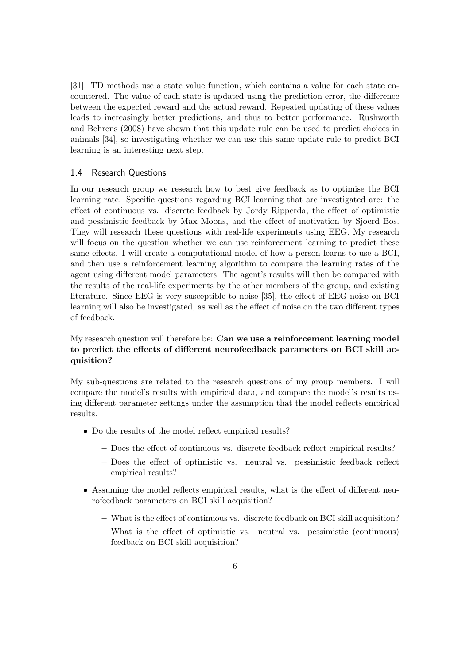[31]. TD methods use a state value function, which contains a value for each state encountered. The value of each state is updated using the prediction error, the difference between the expected reward and the actual reward. Repeated updating of these values leads to increasingly better predictions, and thus to better performance. Rushworth and Behrens (2008) have shown that this update rule can be used to predict choices in animals [34], so investigating whether we can use this same update rule to predict BCI learning is an interesting next step.

#### 1.4 Research Questions

In our research group we research how to best give feedback as to optimise the BCI learning rate. Specific questions regarding BCI learning that are investigated are: the effect of continuous vs. discrete feedback by Jordy Ripperda, the effect of optimistic and pessimistic feedback by Max Moons, and the effect of motivation by Sjoerd Bos. They will research these questions with real-life experiments using EEG. My research will focus on the question whether we can use reinforcement learning to predict these same effects. I will create a computational model of how a person learns to use a BCI, and then use a reinforcement learning algorithm to compare the learning rates of the agent using different model parameters. The agent's results will then be compared with the results of the real-life experiments by the other members of the group, and existing literature. Since EEG is very susceptible to noise [35], the effect of EEG noise on BCI learning will also be investigated, as well as the effect of noise on the two different types of feedback.

#### My research question will therefore be: Can we use a reinforcement learning model to predict the effects of different neurofeedback parameters on BCI skill acquisition?

My sub-questions are related to the research questions of my group members. I will compare the model's results with empirical data, and compare the model's results using different parameter settings under the assumption that the model reflects empirical results.

- Do the results of the model reflect empirical results?
	- Does the effect of continuous vs. discrete feedback reflect empirical results?
	- Does the effect of optimistic vs. neutral vs. pessimistic feedback reflect empirical results?
- Assuming the model reflects empirical results, what is the effect of different neurofeedback parameters on BCI skill acquisition?
	- What is the effect of continuous vs. discrete feedback on BCI skill acquisition?
	- What is the effect of optimistic vs. neutral vs. pessimistic (continuous) feedback on BCI skill acquisition?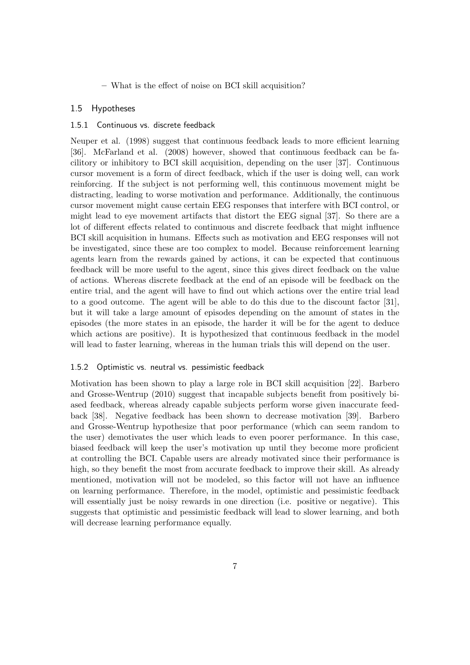– What is the effect of noise on BCI skill acquisition?

#### 1.5 Hypotheses

#### 1.5.1 Continuous vs. discrete feedback

Neuper et al. (1998) suggest that continuous feedback leads to more efficient learning [36]. McFarland et al. (2008) however, showed that continuous feedback can be facilitory or inhibitory to BCI skill acquisition, depending on the user [37]. Continuous cursor movement is a form of direct feedback, which if the user is doing well, can work reinforcing. If the subject is not performing well, this continuous movement might be distracting, leading to worse motivation and performance. Additionally, the continuous cursor movement might cause certain EEG responses that interfere with BCI control, or might lead to eye movement artifacts that distort the EEG signal [37]. So there are a lot of different effects related to continuous and discrete feedback that might influence BCI skill acquisition in humans. Effects such as motivation and EEG responses will not be investigated, since these are too complex to model. Because reinforcement learning agents learn from the rewards gained by actions, it can be expected that continuous feedback will be more useful to the agent, since this gives direct feedback on the value of actions. Whereas discrete feedback at the end of an episode will be feedback on the entire trial, and the agent will have to find out which actions over the entire trial lead to a good outcome. The agent will be able to do this due to the discount factor [31], but it will take a large amount of episodes depending on the amount of states in the episodes (the more states in an episode, the harder it will be for the agent to deduce which actions are positive). It is hypothesized that continuous feedback in the model will lead to faster learning, whereas in the human trials this will depend on the user.

#### 1.5.2 Optimistic vs. neutral vs. pessimistic feedback

Motivation has been shown to play a large role in BCI skill acquisition [22]. Barbero and Grosse-Wentrup (2010) suggest that incapable subjects benefit from positively biased feedback, whereas already capable subjects perform worse given inaccurate feedback [38]. Negative feedback has been shown to decrease motivation [39]. Barbero and Grosse-Wentrup hypothesize that poor performance (which can seem random to the user) demotivates the user which leads to even poorer performance. In this case, biased feedback will keep the user's motivation up until they become more proficient at controlling the BCI. Capable users are already motivated since their performance is high, so they benefit the most from accurate feedback to improve their skill. As already mentioned, motivation will not be modeled, so this factor will not have an influence on learning performance. Therefore, in the model, optimistic and pessimistic feedback will essentially just be noisy rewards in one direction (i.e. positive or negative). This suggests that optimistic and pessimistic feedback will lead to slower learning, and both will decrease learning performance equally.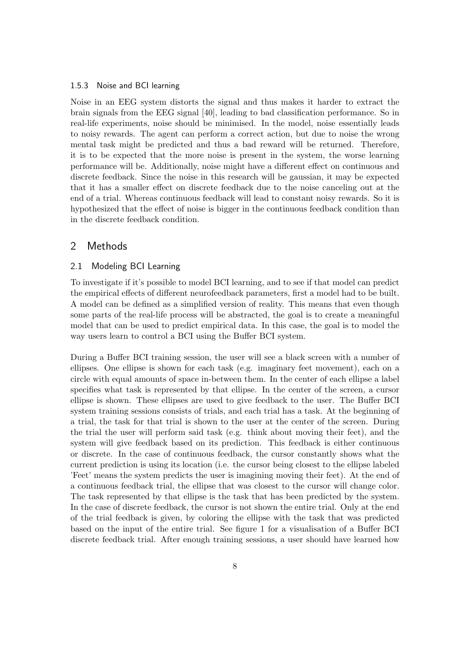#### 1.5.3 Noise and BCI learning

Noise in an EEG system distorts the signal and thus makes it harder to extract the brain signals from the EEG signal [40], leading to bad classification performance. So in real-life experiments, noise should be minimised. In the model, noise essentially leads to noisy rewards. The agent can perform a correct action, but due to noise the wrong mental task might be predicted and thus a bad reward will be returned. Therefore, it is to be expected that the more noise is present in the system, the worse learning performance will be. Additionally, noise might have a different effect on continuous and discrete feedback. Since the noise in this research will be gaussian, it may be expected that it has a smaller effect on discrete feedback due to the noise canceling out at the end of a trial. Whereas continuous feedback will lead to constant noisy rewards. So it is hypothesized that the effect of noise is bigger in the continuous feedback condition than in the discrete feedback condition.

## 2 Methods

#### 2.1 Modeling BCI Learning

To investigate if it's possible to model BCI learning, and to see if that model can predict the empirical effects of different neurofeedback parameters, first a model had to be built. A model can be defined as a simplified version of reality. This means that even though some parts of the real-life process will be abstracted, the goal is to create a meaningful model that can be used to predict empirical data. In this case, the goal is to model the way users learn to control a BCI using the Buffer BCI system.

During a Buffer BCI training session, the user will see a black screen with a number of ellipses. One ellipse is shown for each task (e.g. imaginary feet movement), each on a circle with equal amounts of space in-between them. In the center of each ellipse a label specifies what task is represented by that ellipse. In the center of the screen, a cursor ellipse is shown. These ellipses are used to give feedback to the user. The Buffer BCI system training sessions consists of trials, and each trial has a task. At the beginning of a trial, the task for that trial is shown to the user at the center of the screen. During the trial the user will perform said task (e.g. think about moving their feet), and the system will give feedback based on its prediction. This feedback is either continuous or discrete. In the case of continuous feedback, the cursor constantly shows what the current prediction is using its location (i.e. the cursor being closest to the ellipse labeled 'Feet' means the system predicts the user is imagining moving their feet). At the end of a continuous feedback trial, the ellipse that was closest to the cursor will change color. The task represented by that ellipse is the task that has been predicted by the system. In the case of discrete feedback, the cursor is not shown the entire trial. Only at the end of the trial feedback is given, by coloring the ellipse with the task that was predicted based on the input of the entire trial. See figure 1 for a visualisation of a Buffer BCI discrete feedback trial. After enough training sessions, a user should have learned how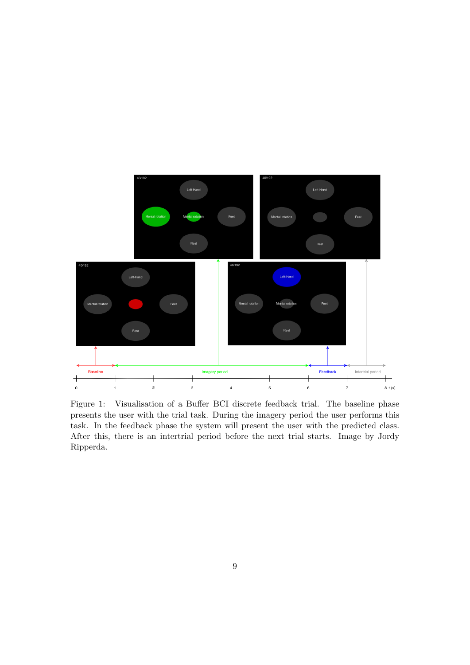

Figure 1: Visualisation of a Buffer BCI discrete feedback trial. The baseline phase presents the user with the trial task. During the imagery period the user performs this task. In the feedback phase the system will present the user with the predicted class. After this, there is an intertrial period before the next trial starts. Image by Jordy Ripperda.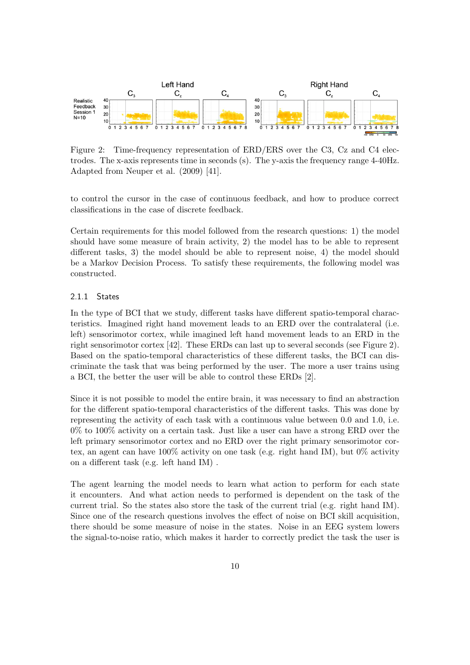

Figure 2: Time-frequency representation of ERD/ERS over the C3, Cz and C4 electrodes. The x-axis represents time in seconds (s). The y-axis the frequency range 4-40Hz. Adapted from Neuper et al. (2009) [41].

to control the cursor in the case of continuous feedback, and how to produce correct classifications in the case of discrete feedback.

Certain requirements for this model followed from the research questions: 1) the model should have some measure of brain activity, 2) the model has to be able to represent different tasks, 3) the model should be able to represent noise, 4) the model should be a Markov Decision Process. To satisfy these requirements, the following model was constructed.

#### 2.1.1 States

In the type of BCI that we study, different tasks have different spatio-temporal characteristics. Imagined right hand movement leads to an ERD over the contralateral (i.e. left) sensorimotor cortex, while imagined left hand movement leads to an ERD in the right sensorimotor cortex [42]. These ERDs can last up to several seconds (see Figure 2). Based on the spatio-temporal characteristics of these different tasks, the BCI can discriminate the task that was being performed by the user. The more a user trains using a BCI, the better the user will be able to control these ERDs [2].

Since it is not possible to model the entire brain, it was necessary to find an abstraction for the different spatio-temporal characteristics of the different tasks. This was done by representing the activity of each task with a continuous value between 0.0 and 1.0, i.e. 0% to 100% activity on a certain task. Just like a user can have a strong ERD over the left primary sensorimotor cortex and no ERD over the right primary sensorimotor cortex, an agent can have 100% activity on one task (e.g. right hand IM), but 0% activity on a different task (e.g. left hand IM) .

The agent learning the model needs to learn what action to perform for each state it encounters. And what action needs to performed is dependent on the task of the current trial. So the states also store the task of the current trial (e.g. right hand IM). Since one of the research questions involves the effect of noise on BCI skill acquisition, there should be some measure of noise in the states. Noise in an EEG system lowers the signal-to-noise ratio, which makes it harder to correctly predict the task the user is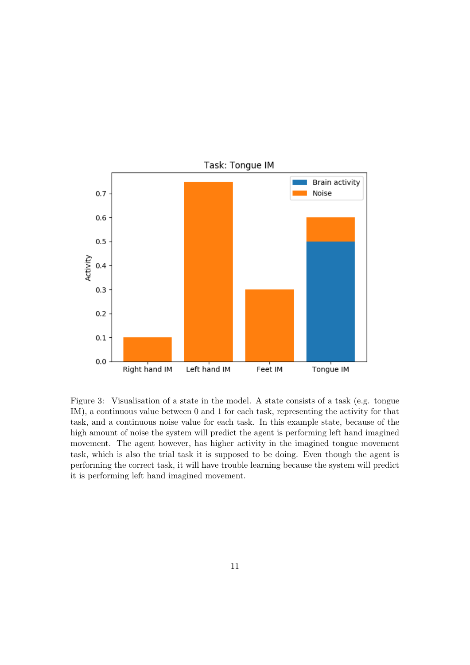

Figure 3: Visualisation of a state in the model. A state consists of a task (e.g. tongue IM), a continuous value between 0 and 1 for each task, representing the activity for that task, and a continuous noise value for each task. In this example state, because of the high amount of noise the system will predict the agent is performing left hand imagined movement. The agent however, has higher activity in the imagined tongue movement task, which is also the trial task it is supposed to be doing. Even though the agent is performing the correct task, it will have trouble learning because the system will predict it is performing left hand imagined movement.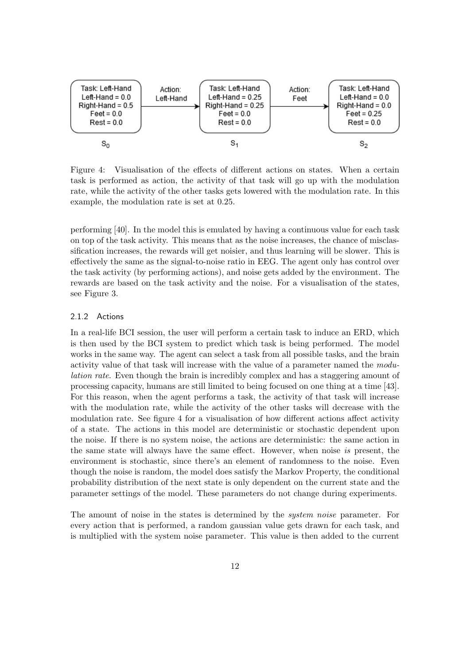

Figure 4: Visualisation of the effects of different actions on states. When a certain task is performed as action, the activity of that task will go up with the modulation rate, while the activity of the other tasks gets lowered with the modulation rate. In this example, the modulation rate is set at 0.25.

performing [40]. In the model this is emulated by having a continuous value for each task on top of the task activity. This means that as the noise increases, the chance of misclassification increases, the rewards will get noisier, and thus learning will be slower. This is effectively the same as the signal-to-noise ratio in EEG. The agent only has control over the task activity (by performing actions), and noise gets added by the environment. The rewards are based on the task activity and the noise. For a visualisation of the states, see Figure 3.

#### 2.1.2 Actions

In a real-life BCI session, the user will perform a certain task to induce an ERD, which is then used by the BCI system to predict which task is being performed. The model works in the same way. The agent can select a task from all possible tasks, and the brain activity value of that task will increase with the value of a parameter named the modulation rate. Even though the brain is incredibly complex and has a staggering amount of processing capacity, humans are still limited to being focused on one thing at a time [43]. For this reason, when the agent performs a task, the activity of that task will increase with the modulation rate, while the activity of the other tasks will decrease with the modulation rate. See figure 4 for a visualisation of how different actions affect activity of a state. The actions in this model are deterministic or stochastic dependent upon the noise. If there is no system noise, the actions are deterministic: the same action in the same state will always have the same effect. However, when noise is present, the environment is stochastic, since there's an element of randomness to the noise. Even though the noise is random, the model does satisfy the Markov Property, the conditional probability distribution of the next state is only dependent on the current state and the parameter settings of the model. These parameters do not change during experiments.

The amount of noise in the states is determined by the *system noise* parameter. For every action that is performed, a random gaussian value gets drawn for each task, and is multiplied with the system noise parameter. This value is then added to the current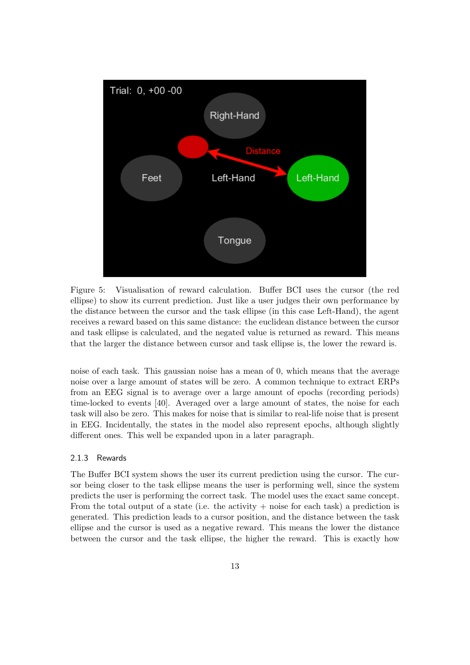

Figure 5: Visualisation of reward calculation. Buffer BCI uses the cursor (the red ellipse) to show its current prediction. Just like a user judges their own performance by the distance between the cursor and the task ellipse (in this case Left-Hand), the agent receives a reward based on this same distance: the euclidean distance between the cursor and task ellipse is calculated, and the negated value is returned as reward. This means that the larger the distance between cursor and task ellipse is, the lower the reward is.

noise of each task. This gaussian noise has a mean of 0, which means that the average noise over a large amount of states will be zero. A common technique to extract ERPs from an EEG signal is to average over a large amount of epochs (recording periods) time-locked to events [40]. Averaged over a large amount of states, the noise for each task will also be zero. This makes for noise that is similar to real-life noise that is present in EEG. Incidentally, the states in the model also represent epochs, although slightly different ones. This well be expanded upon in a later paragraph.

#### 2.1.3 Rewards

The Buffer BCI system shows the user its current prediction using the cursor. The cursor being closer to the task ellipse means the user is performing well, since the system predicts the user is performing the correct task. The model uses the exact same concept. From the total output of a state (i.e. the activity  $+$  noise for each task) a prediction is generated. This prediction leads to a cursor position, and the distance between the task ellipse and the cursor is used as a negative reward. This means the lower the distance between the cursor and the task ellipse, the higher the reward. This is exactly how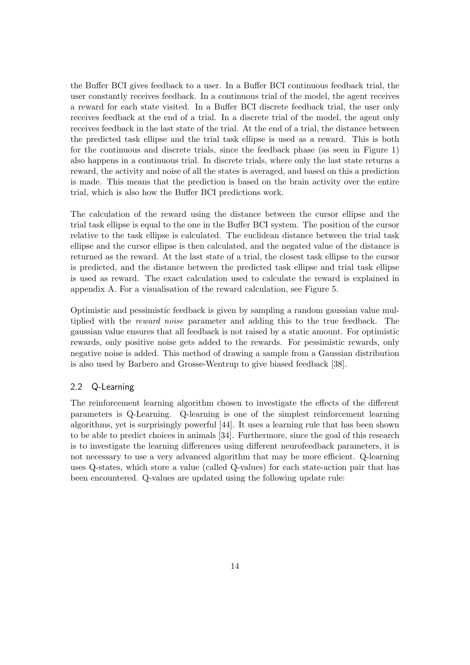the Buffer BCI gives feedback to a user. In a Buffer BCI continuous feedback trial, the user constantly receives feedback. In a continuous trial of the model, the agent receives a reward for each state visited. In a Buffer BCI discrete feedback trial, the user only receives feedback at the end of a trial. In a discrete trial of the model, the agent only receives feedback in the last state of the trial. At the end of a trial, the distance between the predicted task ellipse and the trial task ellipse is used as a reward. This is both for the continuous and discrete trials, since the feedback phase (as seen in Figure 1) also happens in a continuous trial. In discrete trials, where only the last state returns a reward, the activity and noise of all the states is averaged, and based on this a prediction is made. This means that the prediction is based on the brain activity over the entire trial, which is also how the Buffer BCI predictions work.

The calculation of the reward using the distance between the cursor ellipse and the trial task ellipse is equal to the one in the Buffer BCI system. The position of the cursor relative to the task ellipse is calculated. The euclidean distance between the trial task ellipse and the cursor ellipse is then calculated, and the negated value of the distance is returned as the reward. At the last state of a trial, the closest task ellipse to the cursor is predicted, and the distance between the predicted task ellipse and trial task ellipse is used as reward. The exact calculation used to calculate the reward is explained in appendix A. For a visualisation of the reward calculation, see Figure 5.

Optimistic and pessimistic feedback is given by sampling a random gaussian value multiplied with the reward noise parameter and adding this to the true feedback. The gaussian value ensures that all feedback is not raised by a static amount. For optimistic rewards, only positive noise gets added to the rewards. For pessimistic rewards, only negative noise is added. This method of drawing a sample from a Gaussian distribution is also used by Barbero and Grosse-Wentrup to give biased feedback [38].

#### 2.2 Q-Learning

The reinforcement learning algorithm chosen to investigate the effects of the different parameters is Q-Learning. Q-learning is one of the simplest reinforcement learning algorithms, yet is surprisingly powerful [44]. It uses a learning rule that has been shown to be able to predict choices in animals [34]. Furthermore, since the goal of this research is to investigate the learning differences using different neurofeedback parameters, it is not necessary to use a very advanced algorithm that may be more efficient. Q-learning uses Q-states, which store a value (called Q-values) for each state-action pair that has been encountered. Q-values are updated using the following update rule: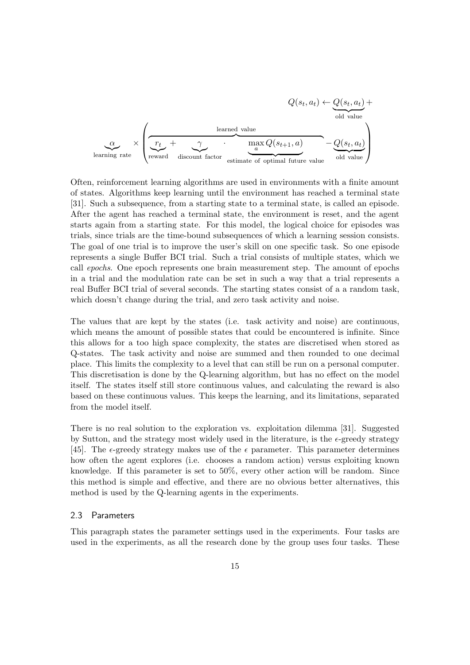$$
Q(s_t, a_t) \leftarrow Q(s_t, a_t) + Q(s_t, a_t) + Q(s_t, a_t) + Q(s_t, a_t) + Q(s_t, a_t) + Q(s_t, a_t) - Q(s_t, a_t) + Q(s_t, a_t) - Q(s_t, a_t) - Q(s_t, a_t) - Q(s_t, a_t) - Q(s_t, a_t) - Q(s_t, a_t) - Q(s_t, a_t) - Q(s_t, a_t) - Q(s_t, a_t) - Q(s_t, a_t) - Q(s_t, a_t) - Q(s_t, a_t) - Q(s_t, a_t) - Q(s_t, a_t) - Q(s_t, a_t) - Q(s_t, a_t) - Q(s_t, a_t) - Q(s_t, a_t) - Q(s_t, a_t) - Q(s_t, a_t) - Q(s_t, a_t) - Q(s_t, a_t) - Q(s_t, a_t) - Q(s_t, a_t) - Q(s_t, a_t) - Q(s_t, a_t) - Q(s_t, a_t) - Q(s_t, a_t) - Q(s_t, a_t) - Q(s_t, a_t) - Q(s_t, a_t) - Q(s_t, a_t) - Q(s_t, a_t) - Q(s_t, a_t) - Q(s_t, a_t) - Q(s_t, a_t) - Q(s_t, a_t) - Q(s_t, a_t) - Q(s_t, a_t) - Q(s_t, a_t) - Q(s_t, a_t) - Q(s_t, a_t) - Q(s_t, a_t) - Q(s_t, a_t) - Q(s_t, a_t) - Q(s_t, a_t) - Q(s_t, a_t) - Q(s_t, a_t) - Q(s_t, a_t) - Q(s_t, a_t) - Q(s_t, a_t) - Q(s_t, a_t) - Q(s_t, a_t) - Q(s_t, a_t) - Q(s_t, a_t) - Q(s_t, a_t) - Q(s_t, a_t) - Q(s_t, a_t) - Q(s_t, a_t) - Q(s_t, a_t) - Q(s_t, a_t) - Q(s_t, a_t) - Q(s_t, a_t) - Q(s_t, a_t) - Q(s_t, a_t) - Q(s_t, a_t) - Q(s_t, a_t) - Q(s_t, a_t) - Q(s_t, a_t) - Q(s_t, a_t) - Q(s_t, a_t) - Q(s_t, a_t) - Q(s_t, a_t) - Q(s_t, a_t) - Q(s_t, a_t) - Q(s_t, a_t) - Q(s_t, a_t) - Q(s_t, a_t) - Q(s_t, a_t) - Q(s_t, a_t) - Q(s_t, a_t) - Q(s_t, a_t) - Q(s_t, a_t) - Q(s_t, a_t) - Q(s_t, a_t) - Q(s_t, a_t) - Q(s_t, a
$$

Often, reinforcement learning algorithms are used in environments with a finite amount of states. Algorithms keep learning until the environment has reached a terminal state [31]. Such a subsequence, from a starting state to a terminal state, is called an episode. After the agent has reached a terminal state, the environment is reset, and the agent starts again from a starting state. For this model, the logical choice for episodes was trials, since trials are the time-bound subsequences of which a learning session consists. The goal of one trial is to improve the user's skill on one specific task. So one episode represents a single Buffer BCI trial. Such a trial consists of multiple states, which we call epochs. One epoch represents one brain measurement step. The amount of epochs in a trial and the modulation rate can be set in such a way that a trial represents a real Buffer BCI trial of several seconds. The starting states consist of a a random task, which doesn't change during the trial, and zero task activity and noise.

The values that are kept by the states (i.e. task activity and noise) are continuous, which means the amount of possible states that could be encountered is infinite. Since this allows for a too high space complexity, the states are discretised when stored as Q-states. The task activity and noise are summed and then rounded to one decimal place. This limits the complexity to a level that can still be run on a personal computer. This discretisation is done by the Q-learning algorithm, but has no effect on the model itself. The states itself still store continuous values, and calculating the reward is also based on these continuous values. This keeps the learning, and its limitations, separated from the model itself.

There is no real solution to the exploration vs. exploitation dilemma [31]. Suggested by Sutton, and the strategy most widely used in the literature, is the  $\epsilon$ -greedy strategy [45]. The  $\epsilon$ -greedy strategy makes use of the  $\epsilon$  parameter. This parameter determines how often the agent explores (i.e. chooses a random action) versus exploiting known knowledge. If this parameter is set to 50%, every other action will be random. Since this method is simple and effective, and there are no obvious better alternatives, this method is used by the Q-learning agents in the experiments.

#### 2.3 Parameters

This paragraph states the parameter settings used in the experiments. Four tasks are used in the experiments, as all the research done by the group uses four tasks. These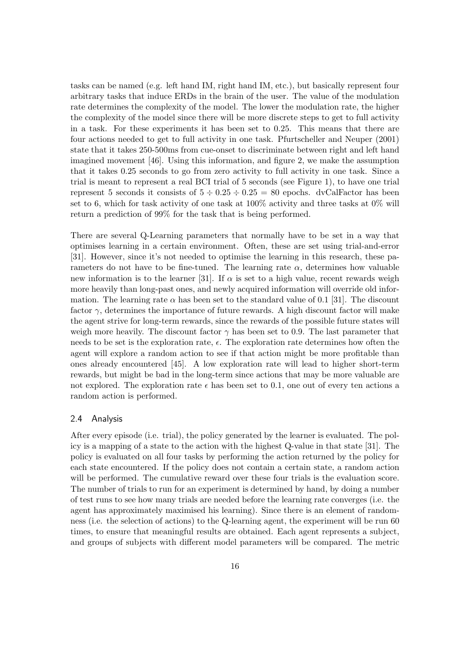tasks can be named (e.g. left hand IM, right hand IM, etc.), but basically represent four arbitrary tasks that induce ERDs in the brain of the user. The value of the modulation rate determines the complexity of the model. The lower the modulation rate, the higher the complexity of the model since there will be more discrete steps to get to full activity in a task. For these experiments it has been set to 0.25. This means that there are four actions needed to get to full activity in one task. Pfurtscheller and Neuper (2001) state that it takes 250-500ms from cue-onset to discriminate between right and left hand imagined movement [46]. Using this information, and figure 2, we make the assumption that it takes 0.25 seconds to go from zero activity to full activity in one task. Since a trial is meant to represent a real BCI trial of 5 seconds (see Figure 1), to have one trial represent 5 seconds it consists of  $5 \div 0.25 \div 0.25 = 80$  epochs. dvCalFactor has been set to 6, which for task activity of one task at  $100\%$  activity and three tasks at  $0\%$  will return a prediction of 99% for the task that is being performed.

There are several Q-Learning parameters that normally have to be set in a way that optimises learning in a certain environment. Often, these are set using trial-and-error [31]. However, since it's not needed to optimise the learning in this research, these parameters do not have to be fine-tuned. The learning rate  $\alpha$ , determines how valuable new information is to the learner [31]. If  $\alpha$  is set to a high value, recent rewards weigh more heavily than long-past ones, and newly acquired information will override old information. The learning rate  $\alpha$  has been set to the standard value of 0.1 [31]. The discount factor  $\gamma$ , determines the importance of future rewards. A high discount factor will make the agent strive for long-term rewards, since the rewards of the possible future states will weigh more heavily. The discount factor  $\gamma$  has been set to 0.9. The last parameter that needs to be set is the exploration rate,  $\epsilon$ . The exploration rate determines how often the agent will explore a random action to see if that action might be more profitable than ones already encountered [45]. A low exploration rate will lead to higher short-term rewards, but might be bad in the long-term since actions that may be more valuable are not explored. The exploration rate  $\epsilon$  has been set to 0.1, one out of every ten actions a random action is performed.

#### 2.4 Analysis

After every episode (i.e. trial), the policy generated by the learner is evaluated. The policy is a mapping of a state to the action with the highest Q-value in that state [31]. The policy is evaluated on all four tasks by performing the action returned by the policy for each state encountered. If the policy does not contain a certain state, a random action will be performed. The cumulative reward over these four trials is the evaluation score. The number of trials to run for an experiment is determined by hand, by doing a number of test runs to see how many trials are needed before the learning rate converges (i.e. the agent has approximately maximised his learning). Since there is an element of randomness (i.e. the selection of actions) to the Q-learning agent, the experiment will be run 60 times, to ensure that meaningful results are obtained. Each agent represents a subject, and groups of subjects with different model parameters will be compared. The metric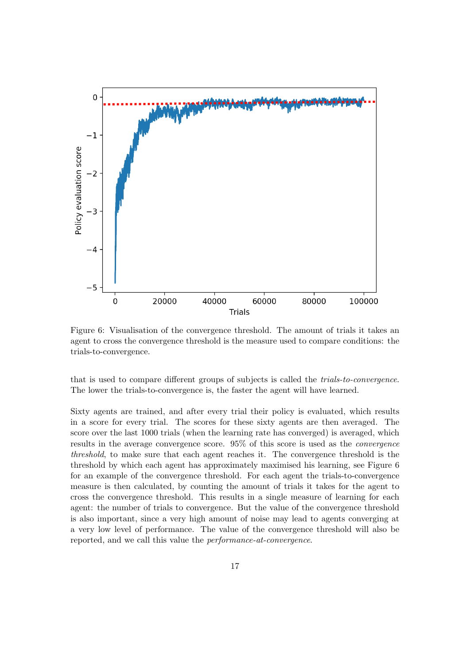

Figure 6: Visualisation of the convergence threshold. The amount of trials it takes an agent to cross the convergence threshold is the measure used to compare conditions: the trials-to-convergence.

that is used to compare different groups of subjects is called the trials-to-convergence. The lower the trials-to-convergence is, the faster the agent will have learned.

Sixty agents are trained, and after every trial their policy is evaluated, which results in a score for every trial. The scores for these sixty agents are then averaged. The score over the last 1000 trials (when the learning rate has converged) is averaged, which results in the average convergence score. 95% of this score is used as the convergence threshold, to make sure that each agent reaches it. The convergence threshold is the threshold by which each agent has approximately maximised his learning, see Figure 6 for an example of the convergence threshold. For each agent the trials-to-convergence measure is then calculated, by counting the amount of trials it takes for the agent to cross the convergence threshold. This results in a single measure of learning for each agent: the number of trials to convergence. But the value of the convergence threshold is also important, since a very high amount of noise may lead to agents converging at a very low level of performance. The value of the convergence threshold will also be reported, and we call this value the performance-at-convergence.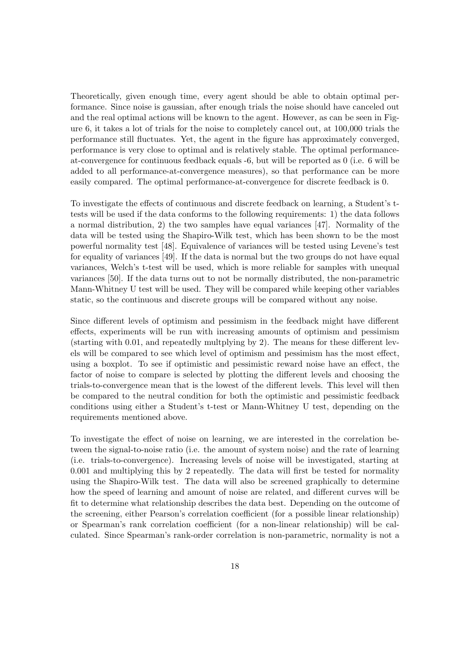Theoretically, given enough time, every agent should be able to obtain optimal performance. Since noise is gaussian, after enough trials the noise should have canceled out and the real optimal actions will be known to the agent. However, as can be seen in Figure 6, it takes a lot of trials for the noise to completely cancel out, at 100,000 trials the performance still fluctuates. Yet, the agent in the figure has approximately converged, performance is very close to optimal and is relatively stable. The optimal performanceat-convergence for continuous feedback equals -6, but will be reported as 0 (i.e. 6 will be added to all performance-at-convergence measures), so that performance can be more easily compared. The optimal performance-at-convergence for discrete feedback is 0.

To investigate the effects of continuous and discrete feedback on learning, a Student's ttests will be used if the data conforms to the following requirements: 1) the data follows a normal distribution, 2) the two samples have equal variances [47]. Normality of the data will be tested using the Shapiro-Wilk test, which has been shown to be the most powerful normality test [48]. Equivalence of variances will be tested using Levene's test for equality of variances [49]. If the data is normal but the two groups do not have equal variances, Welch's t-test will be used, which is more reliable for samples with unequal variances [50]. If the data turns out to not be normally distributed, the non-parametric Mann-Whitney U test will be used. They will be compared while keeping other variables static, so the continuous and discrete groups will be compared without any noise.

Since different levels of optimism and pessimism in the feedback might have different effects, experiments will be run with increasing amounts of optimism and pessimism (starting with 0.01, and repeatedly multplying by 2). The means for these different levels will be compared to see which level of optimism and pessimism has the most effect, using a boxplot. To see if optimistic and pessimistic reward noise have an effect, the factor of noise to compare is selected by plotting the different levels and choosing the trials-to-convergence mean that is the lowest of the different levels. This level will then be compared to the neutral condition for both the optimistic and pessimistic feedback conditions using either a Student's t-test or Mann-Whitney U test, depending on the requirements mentioned above.

To investigate the effect of noise on learning, we are interested in the correlation between the signal-to-noise ratio (i.e. the amount of system noise) and the rate of learning (i.e. trials-to-convergence). Increasing levels of noise will be investigated, starting at 0.001 and multiplying this by 2 repeatedly. The data will first be tested for normality using the Shapiro-Wilk test. The data will also be screened graphically to determine how the speed of learning and amount of noise are related, and different curves will be fit to determine what relationship describes the data best. Depending on the outcome of the screening, either Pearson's correlation coefficient (for a possible linear relationship) or Spearman's rank correlation coefficient (for a non-linear relationship) will be calculated. Since Spearman's rank-order correlation is non-parametric, normality is not a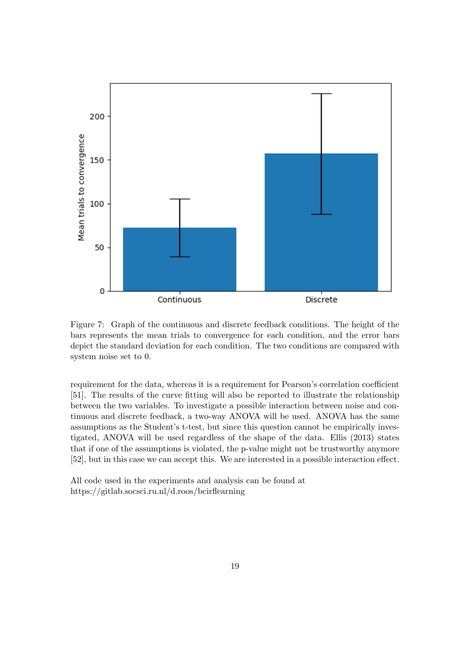

Figure 7: Graph of the continuous and discrete feedback conditions. The height of the bars represents the mean trials to convergence for each condition, and the error bars depict the standard deviation for each condition. The two conditions are compared with system noise set to 0.

requirement for the data, whereas it is a requirement for Pearson's correlation coefficient [51]. The results of the curve fitting will also be reported to illustrate the relationship between the two variables. To investigate a possible interaction between noise and continuous and discrete feedback, a two-way ANOVA will be used. ANOVA has the same assumptions as the Student's t-test, but since this question cannot be empirically investigated, ANOVA will be used regardless of the shape of the data. Ellis (2013) states that if one of the assumptions is violated, the p-value might not be trustworthy anymore [52], but in this case we can accept this. We are interested in a possible interaction effect.

All code used in the experiments and analysis can be found at https://gitlab.socsci.ru.nl/d.roos/bcirflearning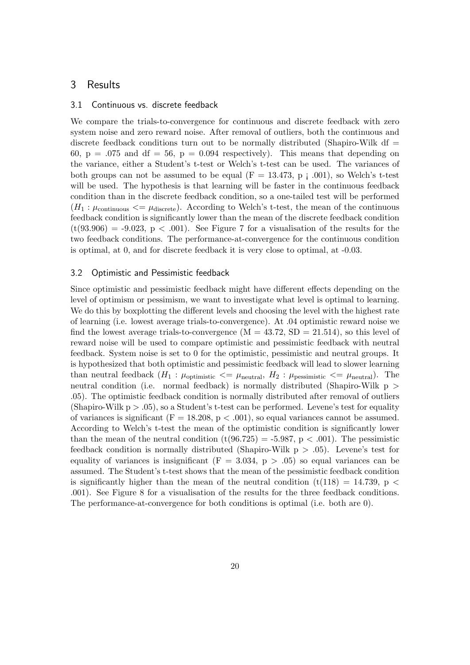## 3 Results

#### 3.1 Continuous vs. discrete feedback

We compare the trials-to-convergence for continuous and discrete feedback with zero system noise and zero reward noise. After removal of outliers, both the continuous and discrete feedback conditions turn out to be normally distributed (Shapiro-Wilk df  $=$ 60,  $p = .075$  and df = 56,  $p = 0.094$  respectively). This means that depending on the variance, either a Student's t-test or Welch's t-test can be used. The variances of both groups can not be assumed to be equal  $(F = 13.473, p \mid .001)$ , so Welch's t-test will be used. The hypothesis is that learning will be faster in the continuous feedback condition than in the discrete feedback condition, so a one-tailed test will be performed  $(H_1: \mu_{\text{continuous}} \leq \mu_{\text{discrete}})$ . According to Welch's t-test, the mean of the continuous feedback condition is significantly lower than the mean of the discrete feedback condition  $(t(93.906) = -9.023, p < .001)$ . See Figure 7 for a visualisation of the results for the two feedback conditions. The performance-at-convergence for the continuous condition is optimal, at 0, and for discrete feedback it is very close to optimal, at -0.03.

#### 3.2 Optimistic and Pessimistic feedback

Since optimistic and pessimistic feedback might have different effects depending on the level of optimism or pessimism, we want to investigate what level is optimal to learning. We do this by boxplotting the different levels and choosing the level with the highest rate of learning (i.e. lowest average trials-to-convergence). At .04 optimistic reward noise we find the lowest average trials-to-convergence  $(M = 43.72, SD = 21.514)$ , so this level of reward noise will be used to compare optimistic and pessimistic feedback with neutral feedback. System noise is set to 0 for the optimistic, pessimistic and neutral groups. It is hypothesized that both optimistic and pessimistic feedback will lead to slower learning than neutral feedback  $(H_1 : \mu_{\text{optimistic}} \leq \mu_{\text{neutral}}, H_2 : \mu_{\text{pessimistic}} \leq \mu_{\text{neutral}})$ . The neutral condition (i.e. normal feedback) is normally distributed (Shapiro-Wilk p > .05). The optimistic feedback condition is normally distributed after removal of outliers (Shapiro-Wilk  $p > .05$ ), so a Student's t-test can be performed. Levene's test for equality of variances is significant ( $F = 18.208$ ,  $p < .001$ ), so equal variances cannot be assumed. According to Welch's t-test the mean of the optimistic condition is significantly lower than the mean of the neutral condition  $(t(96.725) = -5.987, p < .001)$ . The pessimistic feedback condition is normally distributed (Shapiro-Wilk  $p > .05$ ). Levene's test for equality of variances is insignificant  $(F = 3.034, p > .05)$  so equal variances can be assumed. The Student's t-test shows that the mean of the pessimistic feedback condition is significantly higher than the mean of the neutral condition  $(t(118) = 14.739, p <$ .001). See Figure 8 for a visualisation of the results for the three feedback conditions. The performance-at-convergence for both conditions is optimal (i.e. both are 0).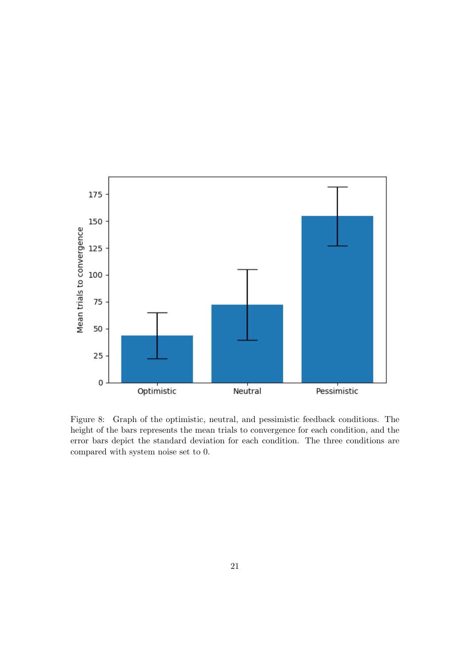

Figure 8: Graph of the optimistic, neutral, and pessimistic feedback conditions. The height of the bars represents the mean trials to convergence for each condition, and the error bars depict the standard deviation for each condition. The three conditions are compared with system noise set to 0.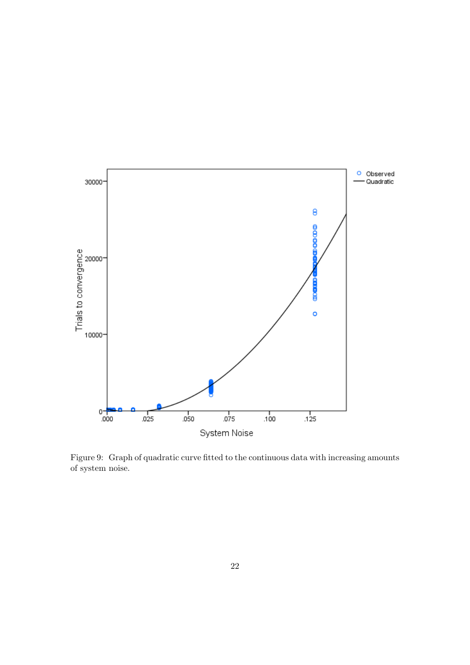

Figure 9: Graph of quadratic curve fitted to the continuous data with increasing amounts of system noise.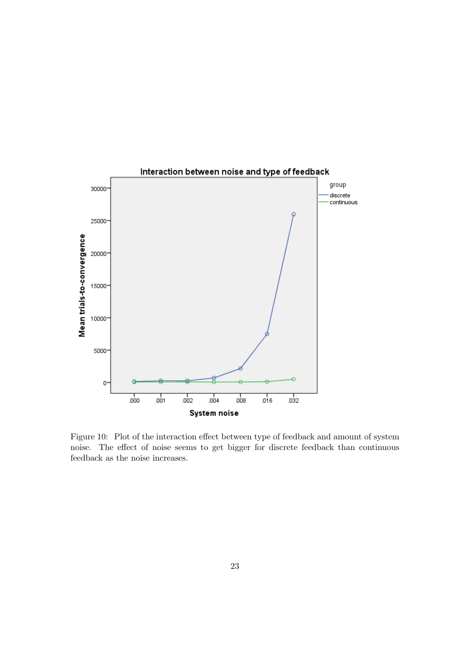

Figure 10: Plot of the interaction effect between type of feedback and amount of system noise. The effect of noise seems to get bigger for discrete feedback than continuous feedback as the noise increases.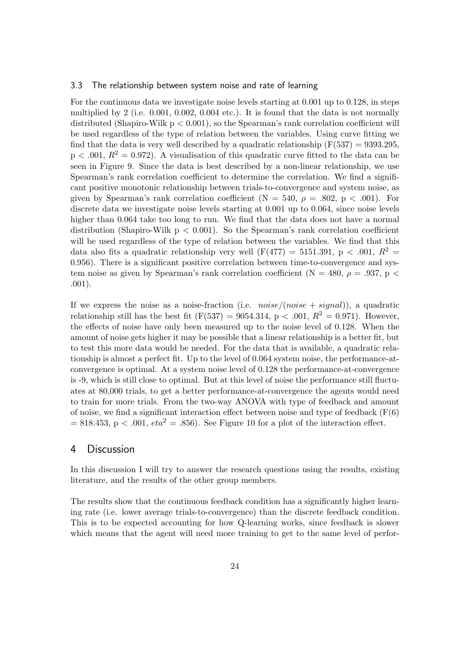#### 3.3 The relationship between system noise and rate of learning

For the continuous data we investigate noise levels starting at 0.001 up to 0.128, in steps multiplied by 2 (i.e. 0.001, 0.002, 0.004 etc.). It is found that the data is not normally distributed (Shapiro-Wilk  $p < 0.001$ ), so the Spearman's rank correlation coefficient will be used regardless of the type of relation between the variables. Using curve fitting we find that the data is very well described by a quadratic relationship  $(F(537) = 9393.295,$  $p < .001$ ,  $R^2 = 0.972$ ). A visualisation of this quadratic curve fitted to the data can be seen in Figure 9. Since the data is best described by a non-linear relationship, we use Spearman's rank correlation coefficient to determine the correlation. We find a significant positive monotonic relationship between trials-to-convergence and system noise, as given by Spearman's rank correlation coefficient ( $N = 540$ ,  $\rho = .802$ ,  $p < .001$ ). For discrete data we investigate noise levels starting at 0.001 up to 0.064, since noise levels higher than 0.064 take too long to run. We find that the data does not have a normal distribution (Shapiro-Wilk  $p < 0.001$ ). So the Spearman's rank correlation coefficient will be used regardless of the type of relation between the variables. We find that this data also fits a quadratic relationship very well  $(F(477) = 5151.391, p < .001, R^2 =$ 0.956). There is a significant positive correlation between time-to-convergence and system noise as given by Spearman's rank correlation coefficient (N = 480,  $\rho = .937$ , p < .001).

If we express the noise as a noise-fraction (i.e.  $noise/(noise + signal)$ ), a quadratic relationship still has the best fit (F(537) = 9054.314, p < .001,  $R^2 = 0.971$ ). However, the effects of noise have only been measured up to the noise level of 0.128. When the amount of noise gets higher it may be possible that a linear relationship is a better fit, but to test this more data would be needed. For the data that is available, a quadratic relationship is almost a perfect fit. Up to the level of 0.064 system noise, the performance-atconvergence is optimal. At a system noise level of 0.128 the performance-at-convergence is -9, which is still close to optimal. But at this level of noise the performance still fluctuates at 80,000 trials, to get a better performance-at-convergence the agents would need to train for more trials. From the two-way ANOVA with type of feedback and amount of noise, we find a significant interaction effect between noise and type of feedback  $(F(6))$  $= 818.453$ , p < .001,  $eta^2 = .856$ ). See Figure 10 for a plot of the interaction effect.

#### 4 Discussion

In this discussion I will try to answer the research questions using the results, existing literature, and the results of the other group members.

The results show that the continuous feedback condition has a significantly higher learning rate (i.e. lower average trials-to-convergence) than the discrete feedback condition. This is to be expected accounting for how Q-learning works, since feedback is slower which means that the agent will need more training to get to the same level of perfor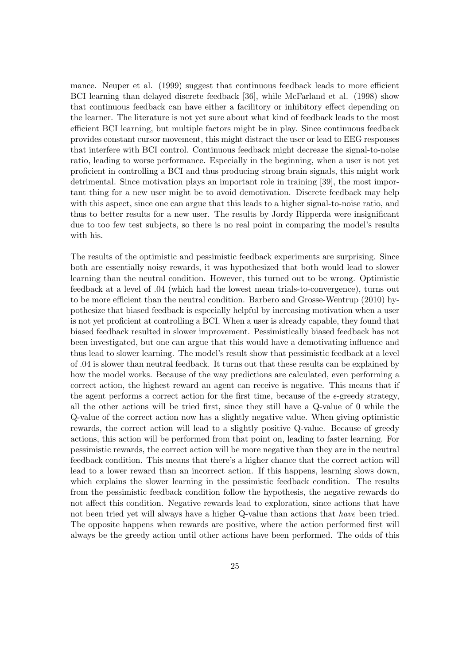mance. Neuper et al. (1999) suggest that continuous feedback leads to more efficient BCI learning than delayed discrete feedback [36], while McFarland et al. (1998) show that continuous feedback can have either a facilitory or inhibitory effect depending on the learner. The literature is not yet sure about what kind of feedback leads to the most efficient BCI learning, but multiple factors might be in play. Since continuous feedback provides constant cursor movement, this might distract the user or lead to EEG responses that interfere with BCI control. Continuous feedback might decrease the signal-to-noise ratio, leading to worse performance. Especially in the beginning, when a user is not yet proficient in controlling a BCI and thus producing strong brain signals, this might work detrimental. Since motivation plays an important role in training [39], the most important thing for a new user might be to avoid demotivation. Discrete feedback may help with this aspect, since one can argue that this leads to a higher signal-to-noise ratio, and thus to better results for a new user. The results by Jordy Ripperda were insignificant due to too few test subjects, so there is no real point in comparing the model's results with his.

The results of the optimistic and pessimistic feedback experiments are surprising. Since both are essentially noisy rewards, it was hypothesized that both would lead to slower learning than the neutral condition. However, this turned out to be wrong. Optimistic feedback at a level of .04 (which had the lowest mean trials-to-convergence), turns out to be more efficient than the neutral condition. Barbero and Grosse-Wentrup (2010) hypothesize that biased feedback is especially helpful by increasing motivation when a user is not yet proficient at controlling a BCI. When a user is already capable, they found that biased feedback resulted in slower improvement. Pessimistically biased feedback has not been investigated, but one can argue that this would have a demotivating influence and thus lead to slower learning. The model's result show that pessimistic feedback at a level of .04 is slower than neutral feedback. It turns out that these results can be explained by how the model works. Because of the way predictions are calculated, even performing a correct action, the highest reward an agent can receive is negative. This means that if the agent performs a correct action for the first time, because of the  $\epsilon$ -greedy strategy, all the other actions will be tried first, since they still have a Q-value of 0 while the Q-value of the correct action now has a slightly negative value. When giving optimistic rewards, the correct action will lead to a slightly positive Q-value. Because of greedy actions, this action will be performed from that point on, leading to faster learning. For pessimistic rewards, the correct action will be more negative than they are in the neutral feedback condition. This means that there's a higher chance that the correct action will lead to a lower reward than an incorrect action. If this happens, learning slows down, which explains the slower learning in the pessimistic feedback condition. The results from the pessimistic feedback condition follow the hypothesis, the negative rewards do not affect this condition. Negative rewards lead to exploration, since actions that have not been tried yet will always have a higher Q-value than actions that have been tried. The opposite happens when rewards are positive, where the action performed first will always be the greedy action until other actions have been performed. The odds of this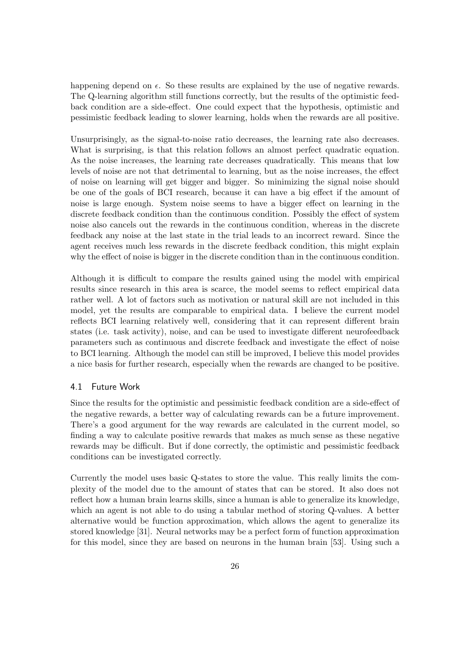happening depend on  $\epsilon$ . So these results are explained by the use of negative rewards. The Q-learning algorithm still functions correctly, but the results of the optimistic feedback condition are a side-effect. One could expect that the hypothesis, optimistic and pessimistic feedback leading to slower learning, holds when the rewards are all positive.

Unsurprisingly, as the signal-to-noise ratio decreases, the learning rate also decreases. What is surprising, is that this relation follows an almost perfect quadratic equation. As the noise increases, the learning rate decreases quadratically. This means that low levels of noise are not that detrimental to learning, but as the noise increases, the effect of noise on learning will get bigger and bigger. So minimizing the signal noise should be one of the goals of BCI research, because it can have a big effect if the amount of noise is large enough. System noise seems to have a bigger effect on learning in the discrete feedback condition than the continuous condition. Possibly the effect of system noise also cancels out the rewards in the continuous condition, whereas in the discrete feedback any noise at the last state in the trial leads to an incorrect reward. Since the agent receives much less rewards in the discrete feedback condition, this might explain why the effect of noise is bigger in the discrete condition than in the continuous condition.

Although it is difficult to compare the results gained using the model with empirical results since research in this area is scarce, the model seems to reflect empirical data rather well. A lot of factors such as motivation or natural skill are not included in this model, yet the results are comparable to empirical data. I believe the current model reflects BCI learning relatively well, considering that it can represent different brain states (i.e. task activity), noise, and can be used to investigate different neurofeedback parameters such as continuous and discrete feedback and investigate the effect of noise to BCI learning. Although the model can still be improved, I believe this model provides a nice basis for further research, especially when the rewards are changed to be positive.

#### 4.1 Future Work

Since the results for the optimistic and pessimistic feedback condition are a side-effect of the negative rewards, a better way of calculating rewards can be a future improvement. There's a good argument for the way rewards are calculated in the current model, so finding a way to calculate positive rewards that makes as much sense as these negative rewards may be difficult. But if done correctly, the optimistic and pessimistic feedback conditions can be investigated correctly.

Currently the model uses basic Q-states to store the value. This really limits the complexity of the model due to the amount of states that can be stored. It also does not reflect how a human brain learns skills, since a human is able to generalize its knowledge, which an agent is not able to do using a tabular method of storing Q-values. A better alternative would be function approximation, which allows the agent to generalize its stored knowledge [31]. Neural networks may be a perfect form of function approximation for this model, since they are based on neurons in the human brain [53]. Using such a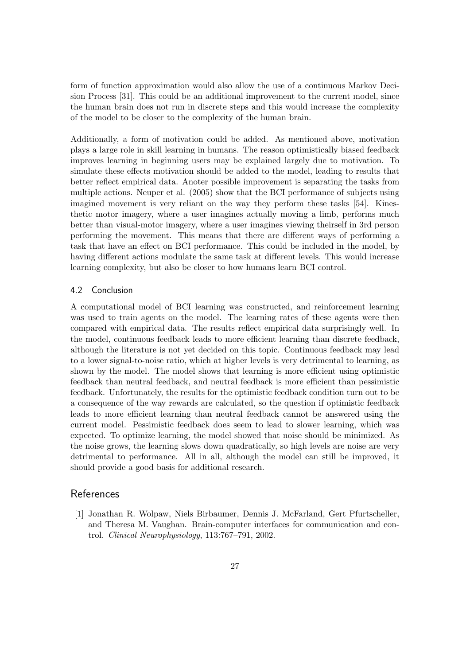form of function approximation would also allow the use of a continuous Markov Decision Process [31]. This could be an additional improvement to the current model, since the human brain does not run in discrete steps and this would increase the complexity of the model to be closer to the complexity of the human brain.

Additionally, a form of motivation could be added. As mentioned above, motivation plays a large role in skill learning in humans. The reason optimistically biased feedback improves learning in beginning users may be explained largely due to motivation. To simulate these effects motivation should be added to the model, leading to results that better reflect empirical data. Anoter possible improvement is separating the tasks from multiple actions. Neuper et al. (2005) show that the BCI performance of subjects using imagined movement is very reliant on the way they perform these tasks [54]. Kinesthetic motor imagery, where a user imagines actually moving a limb, performs much better than visual-motor imagery, where a user imagines viewing theirself in 3rd person performing the movement. This means that there are different ways of performing a task that have an effect on BCI performance. This could be included in the model, by having different actions modulate the same task at different levels. This would increase learning complexity, but also be closer to how humans learn BCI control.

#### 4.2 Conclusion

A computational model of BCI learning was constructed, and reinforcement learning was used to train agents on the model. The learning rates of these agents were then compared with empirical data. The results reflect empirical data surprisingly well. In the model, continuous feedback leads to more efficient learning than discrete feedback, although the literature is not yet decided on this topic. Continuous feedback may lead to a lower signal-to-noise ratio, which at higher levels is very detrimental to learning, as shown by the model. The model shows that learning is more efficient using optimistic feedback than neutral feedback, and neutral feedback is more efficient than pessimistic feedback. Unfortunately, the results for the optimistic feedback condition turn out to be a consequence of the way rewards are calculated, so the question if optimistic feedback leads to more efficient learning than neutral feedback cannot be answered using the current model. Pessimistic feedback does seem to lead to slower learning, which was expected. To optimize learning, the model showed that noise should be minimized. As the noise grows, the learning slows down quadratically, so high levels are noise are very detrimental to performance. All in all, although the model can still be improved, it should provide a good basis for additional research.

#### References

[1] Jonathan R. Wolpaw, Niels Birbaumer, Dennis J. McFarland, Gert Pfurtscheller, and Theresa M. Vaughan. Brain-computer interfaces for communication and control. Clinical Neurophysiology, 113:767–791, 2002.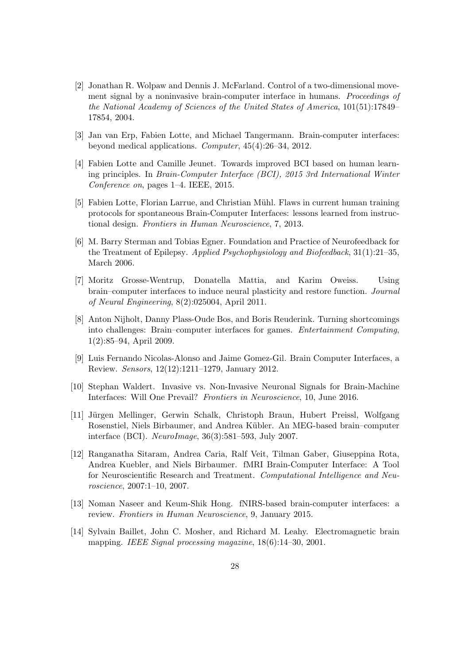- [2] Jonathan R. Wolpaw and Dennis J. McFarland. Control of a two-dimensional movement signal by a noninvasive brain-computer interface in humans. Proceedings of the National Academy of Sciences of the United States of America, 101(51):17849– 17854, 2004.
- [3] Jan van Erp, Fabien Lotte, and Michael Tangermann. Brain-computer interfaces: beyond medical applications. Computer, 45(4):26–34, 2012.
- [4] Fabien Lotte and Camille Jeunet. Towards improved BCI based on human learning principles. In Brain-Computer Interface (BCI), 2015 3rd International Winter Conference on, pages 1–4. IEEE, 2015.
- [5] Fabien Lotte, Florian Larrue, and Christian Mühl. Flaws in current human training protocols for spontaneous Brain-Computer Interfaces: lessons learned from instructional design. Frontiers in Human Neuroscience, 7, 2013.
- [6] M. Barry Sterman and Tobias Egner. Foundation and Practice of Neurofeedback for the Treatment of Epilepsy. Applied Psychophysiology and Biofeedback, 31(1):21–35, March 2006.
- [7] Moritz Grosse-Wentrup, Donatella Mattia, and Karim Oweiss. Using brain–computer interfaces to induce neural plasticity and restore function. Journal of Neural Engineering, 8(2):025004, April 2011.
- [8] Anton Nijholt, Danny Plass-Oude Bos, and Boris Reuderink. Turning shortcomings into challenges: Brain–computer interfaces for games. Entertainment Computing, 1(2):85–94, April 2009.
- [9] Luis Fernando Nicolas-Alonso and Jaime Gomez-Gil. Brain Computer Interfaces, a Review. Sensors, 12(12):1211–1279, January 2012.
- [10] Stephan Waldert. Invasive vs. Non-Invasive Neuronal Signals for Brain-Machine Interfaces: Will One Prevail? Frontiers in Neuroscience, 10, June 2016.
- [11] Jürgen Mellinger, Gerwin Schalk, Christoph Braun, Hubert Preissl, Wolfgang Rosenstiel, Niels Birbaumer, and Andrea Kübler. An MEG-based brain-computer interface (BCI). NeuroImage, 36(3):581–593, July 2007.
- [12] Ranganatha Sitaram, Andrea Caria, Ralf Veit, Tilman Gaber, Giuseppina Rota, Andrea Kuebler, and Niels Birbaumer. fMRI Brain-Computer Interface: A Tool for Neuroscientific Research and Treatment. Computational Intelligence and Neuroscience, 2007:1–10, 2007.
- [13] Noman Naseer and Keum-Shik Hong. fNIRS-based brain-computer interfaces: a review. Frontiers in Human Neuroscience, 9, January 2015.
- [14] Sylvain Baillet, John C. Mosher, and Richard M. Leahy. Electromagnetic brain mapping. IEEE Signal processing magazine,  $18(6):14-30, 2001$ .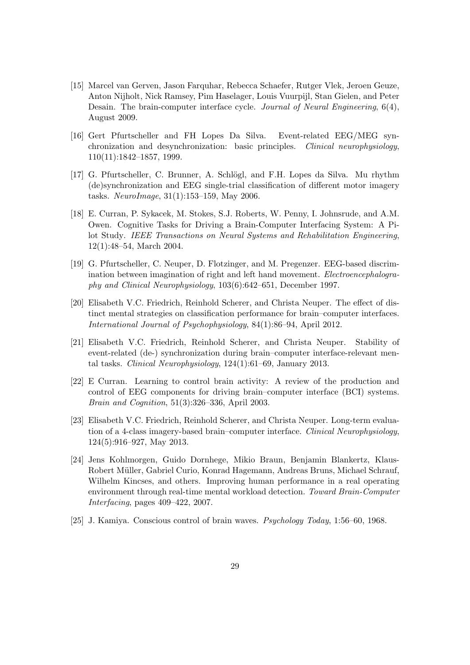- [15] Marcel van Gerven, Jason Farquhar, Rebecca Schaefer, Rutger Vlek, Jeroen Geuze, Anton Nijholt, Nick Ramsey, Pim Haselager, Louis Vuurpijl, Stan Gielen, and Peter Desain. The brain-computer interface cycle. Journal of Neural Engineering, 6(4), August 2009.
- [16] Gert Pfurtscheller and FH Lopes Da Silva. Event-related EEG/MEG synchronization and desynchronization: basic principles. Clinical neurophysiology, 110(11):1842–1857, 1999.
- [17] G. Pfurtscheller, C. Brunner, A. Schlögl, and F.H. Lopes da Silva. Mu rhythm (de)synchronization and EEG single-trial classification of different motor imagery tasks. NeuroImage, 31(1):153–159, May 2006.
- [18] E. Curran, P. Sykacek, M. Stokes, S.J. Roberts, W. Penny, I. Johnsrude, and A.M. Owen. Cognitive Tasks for Driving a Brain-Computer Interfacing System: A Pilot Study. IEEE Transactions on Neural Systems and Rehabilitation Engineering, 12(1):48–54, March 2004.
- [19] G. Pfurtscheller, C. Neuper, D. Flotzinger, and M. Pregenzer. EEG-based discrimination between imagination of right and left hand movement. *Electroencephalogra*phy and Clinical Neurophysiology, 103(6):642–651, December 1997.
- [20] Elisabeth V.C. Friedrich, Reinhold Scherer, and Christa Neuper. The effect of distinct mental strategies on classification performance for brain–computer interfaces. International Journal of Psychophysiology, 84(1):86–94, April 2012.
- [21] Elisabeth V.C. Friedrich, Reinhold Scherer, and Christa Neuper. Stability of event-related (de-) synchronization during brain–computer interface-relevant mental tasks. Clinical Neurophysiology, 124(1):61–69, January 2013.
- [22] E Curran. Learning to control brain activity: A review of the production and control of EEG components for driving brain–computer interface (BCI) systems. Brain and Cognition, 51(3):326–336, April 2003.
- [23] Elisabeth V.C. Friedrich, Reinhold Scherer, and Christa Neuper. Long-term evaluation of a 4-class imagery-based brain–computer interface. Clinical Neurophysiology, 124(5):916–927, May 2013.
- [24] Jens Kohlmorgen, Guido Dornhege, Mikio Braun, Benjamin Blankertz, Klaus-Robert Müller, Gabriel Curio, Konrad Hagemann, Andreas Bruns, Michael Schrauf, Wilhelm Kincses, and others. Improving human performance in a real operating environment through real-time mental workload detection. Toward Brain-Computer Interfacing, pages 409–422, 2007.
- [25] J. Kamiya. Conscious control of brain waves. Psychology Today, 1:56–60, 1968.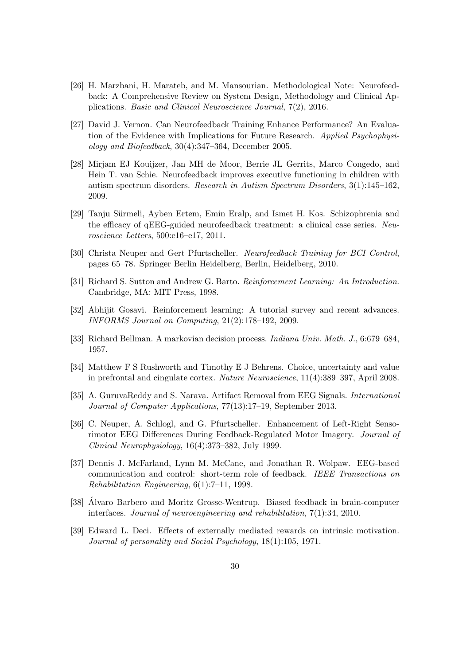- [26] H. Marzbani, H. Marateb, and M. Mansourian. Methodological Note: Neurofeedback: A Comprehensive Review on System Design, Methodology and Clinical Applications. Basic and Clinical Neuroscience Journal, 7(2), 2016.
- [27] David J. Vernon. Can Neurofeedback Training Enhance Performance? An Evaluation of the Evidence with Implications for Future Research. Applied Psychophysiology and Biofeedback, 30(4):347–364, December 2005.
- [28] Mirjam EJ Kouijzer, Jan MH de Moor, Berrie JL Gerrits, Marco Congedo, and Hein T. van Schie. Neurofeedback improves executive functioning in children with autism spectrum disorders. Research in Autism Spectrum Disorders, 3(1):145–162, 2009.
- [29] Tanju Sürmeli, Ayben Ertem, Emin Eralp, and Ismet H. Kos. Schizophrenia and the efficacy of qEEG-guided neurofeedback treatment: a clinical case series. Neuroscience Letters, 500:e16–e17, 2011.
- [30] Christa Neuper and Gert Pfurtscheller. Neurofeedback Training for BCI Control, pages 65–78. Springer Berlin Heidelberg, Berlin, Heidelberg, 2010.
- [31] Richard S. Sutton and Andrew G. Barto. Reinforcement Learning: An Introduction. Cambridge, MA: MIT Press, 1998.
- [32] Abhijit Gosavi. Reinforcement learning: A tutorial survey and recent advances. INFORMS Journal on Computing, 21(2):178–192, 2009.
- [33] Richard Bellman. A markovian decision process. Indiana Univ. Math. J., 6:679–684, 1957.
- [34] Matthew F S Rushworth and Timothy E J Behrens. Choice, uncertainty and value in prefrontal and cingulate cortex. Nature Neuroscience, 11(4):389–397, April 2008.
- [35] A. GuruvaReddy and S. Narava. Artifact Removal from EEG Signals. International Journal of Computer Applications, 77(13):17–19, September 2013.
- [36] C. Neuper, A. Schlogl, and G. Pfurtscheller. Enhancement of Left-Right Sensorimotor EEG Differences During Feedback-Regulated Motor Imagery. Journal of Clinical Neurophysiology, 16(4):373–382, July 1999.
- [37] Dennis J. McFarland, Lynn M. McCane, and Jonathan R. Wolpaw. EEG-based communication and control: short-term role of feedback. IEEE Transactions on Rehabilitation Engineering, 6(1):7–11, 1998.
- [38] Alvaro Barbero and Moritz Grosse-Wentrup. Biased feedback in brain-computer ´ interfaces. Journal of neuroengineering and rehabilitation, 7(1):34, 2010.
- [39] Edward L. Deci. Effects of externally mediated rewards on intrinsic motivation. Journal of personality and Social Psychology, 18(1):105, 1971.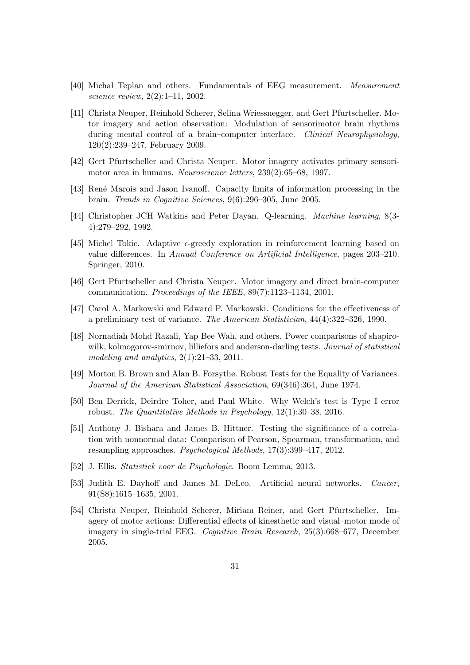- [40] Michal Teplan and others. Fundamentals of EEG measurement. Measurement science review, 2(2):1–11, 2002.
- [41] Christa Neuper, Reinhold Scherer, Selina Wriessnegger, and Gert Pfurtscheller. Motor imagery and action observation: Modulation of sensorimotor brain rhythms during mental control of a brain–computer interface. Clinical Neurophysiology, 120(2):239–247, February 2009.
- [42] Gert Pfurtscheller and Christa Neuper. Motor imagery activates primary sensorimotor area in humans. Neuroscience letters, 239(2):65–68, 1997.
- [43] Ren´e Marois and Jason Ivanoff. Capacity limits of information processing in the brain. Trends in Cognitive Sciences, 9(6):296–305, June 2005.
- [44] Christopher JCH Watkins and Peter Dayan. Q-learning. Machine learning, 8(3- 4):279–292, 1992.
- [45] Michel Tokic. Adaptive  $\epsilon$ -greedy exploration in reinforcement learning based on value differences. In Annual Conference on Artificial Intelligence, pages 203–210. Springer, 2010.
- [46] Gert Pfurtscheller and Christa Neuper. Motor imagery and direct brain-computer communication. Proceedings of the IEEE, 89(7):1123–1134, 2001.
- [47] Carol A. Markowski and Edward P. Markowski. Conditions for the effectiveness of a preliminary test of variance. The American Statistician, 44(4):322–326, 1990.
- [48] Nornadiah Mohd Razali, Yap Bee Wah, and others. Power comparisons of shapirowilk, kolmogorov-smirnov, lilliefors and anderson-darling tests. Journal of statistical modeling and analytics,  $2(1):21-33$ ,  $2011$ .
- [49] Morton B. Brown and Alan B. Forsythe. Robust Tests for the Equality of Variances. Journal of the American Statistical Association, 69(346):364, June 1974.
- [50] Ben Derrick, Deirdre Toher, and Paul White. Why Welch's test is Type I error robust. The Quantitative Methods in Psychology, 12(1):30–38, 2016.
- [51] Anthony J. Bishara and James B. Hittner. Testing the significance of a correlation with nonnormal data: Comparison of Pearson, Spearman, transformation, and resampling approaches. Psychological Methods, 17(3):399–417, 2012.
- [52] J. Ellis. Statistiek voor de Psychologie. Boom Lemma, 2013.
- [53] Judith E. Dayhoff and James M. DeLeo. Artificial neural networks. Cancer, 91(S8):1615–1635, 2001.
- [54] Christa Neuper, Reinhold Scherer, Miriam Reiner, and Gert Pfurtscheller. Imagery of motor actions: Differential effects of kinesthetic and visual–motor mode of imagery in single-trial EEG. Cognitive Brain Research, 25(3):668–677, December 2005.